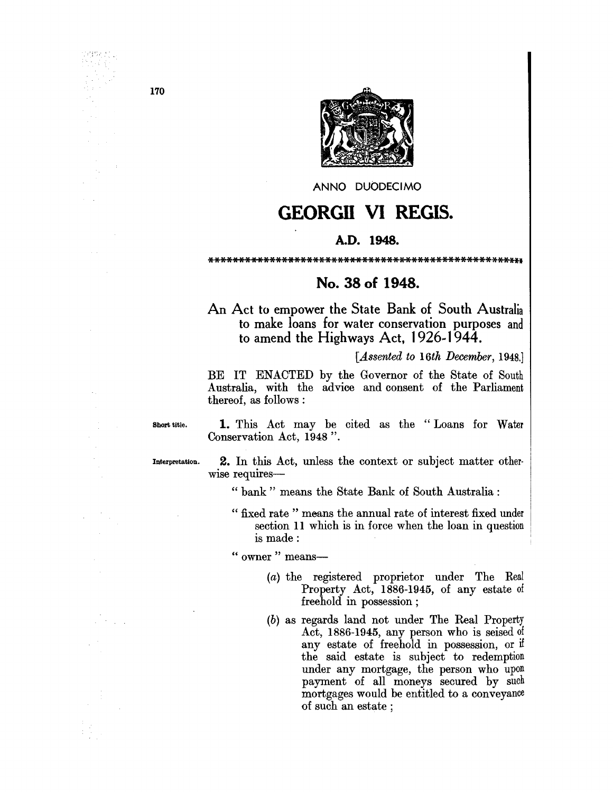

ANNO DUODECIMO

## **GEORGII VI REGIS.**

## A.D. 1948.

## No. 38 of 1948.

An Act to empower the State Bank of South Australia to make loans for water conservation purposes and to amend the Highways Act, 1926-1944.

[Assented to 16th December, 1948.]

BE IT ENACTED by the Governor of the State of South Australia, with the advice and consent of the Parliament thereof, as follows:

Short title.

1. This Act may be cited as the "Loans for Water Conservation Act, 1948".

Interpretation.

2. In this Act, unless the context or subject matter otherwise requires-

" bank " means the State Bank of South Australia:

"fixed rate" means the annual rate of interest fixed under section 11 which is in force when the loan in question is made:

" owner " means-

- (a) the registered proprietor under The Real Property Act, 1886-1945, of any estate of freehold in possession;
- (b) as regards land not under The Real Property Act, 1886-1945, any person who is seised of any estate of freehold in possession, or if the said estate is subject to redemption under any mortgage, the person who upon payment of all moneys secured by such mortgages would be entitled to a conveyance of such an estate :

170

orpagi.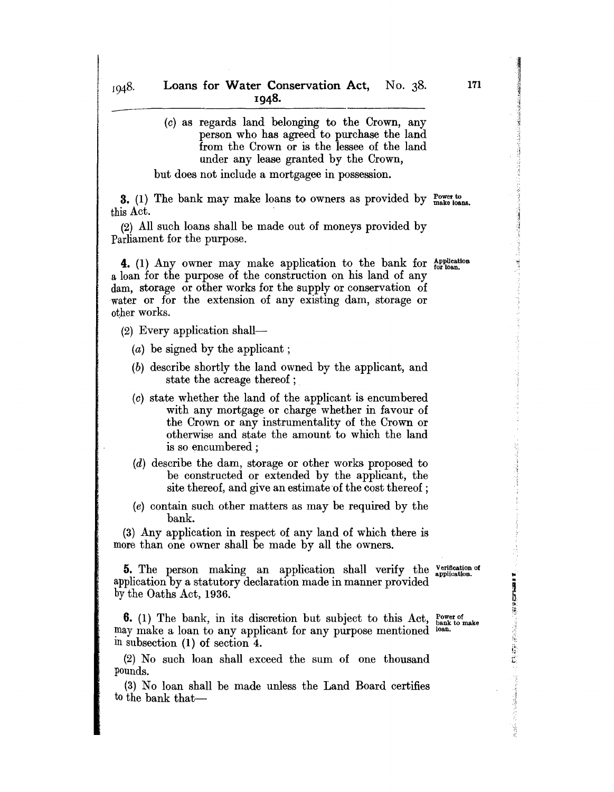## (c) as regards land belonging to the Crown, any person who has agreed to purchase the land from the Crown or is the lessee of the land under any lease granted by the Crown,

but does not include a mortgagee in possession.

**3.** (1) The bank may make loans to owners as provided by  $\frac{Power\ to}{make\ loans}$ this Act.

(2) All such loans shall be made out of moneys provided by Parliament for the purpose.

4. (1) Any owner may make application to the bank for Application a loan for the purpose of the construction on his land of any dam, storage or other works for the supply or conservation of water or for the extension of any existing dam, storage or other works.

 $(2)$  Every application shall-

(a) be signed by the applicant;

- (b) describe shortly the land owned by the applicant, and state the acreage thereof;
- (c) state whether the land of the applicant is encumbered with any mortgage or charge whether in favour of the Crown or any instrumentality of the Crown or otherwise and state the amount to which the land is so encumbered;
- (d) describe the dam, storage or other works proposed to be constructed or extended by the applicant, the site thereof, and give an estimate of the cost thereof;
- (e) contain such other matters as may be required by the bank.

(3) Any application in respect of any land of which there is more than one owner shall be made by all the owners.

**5.** The person making an application shall verify the verification of application by a statutory declaration made in manner provided by the Oaths Act, 1936.

**6.** (1) The bank, in its discretion but subject to this Act, Power of bank to make may make a loan to any applicant for any purpose mentioned loan. In subsection (1) of section 4.

(2) No such loan shall exceed the sum of one thousand pounds.

(3) No loan shall be made unless the Land Board certifies to the bank that-

" ..

.<br>..<br>..

 $\frac{1}{2}$  ,  $\frac{1}{2}$  ,  $\frac{1}{2}$  ,  $\frac{1}{2}$  ,  $\frac{1}{2}$  ,  $\frac{1}{2}$  ,  $\frac{1}{2}$ 

i<br>Indonésia<br>I .J

 $1048.$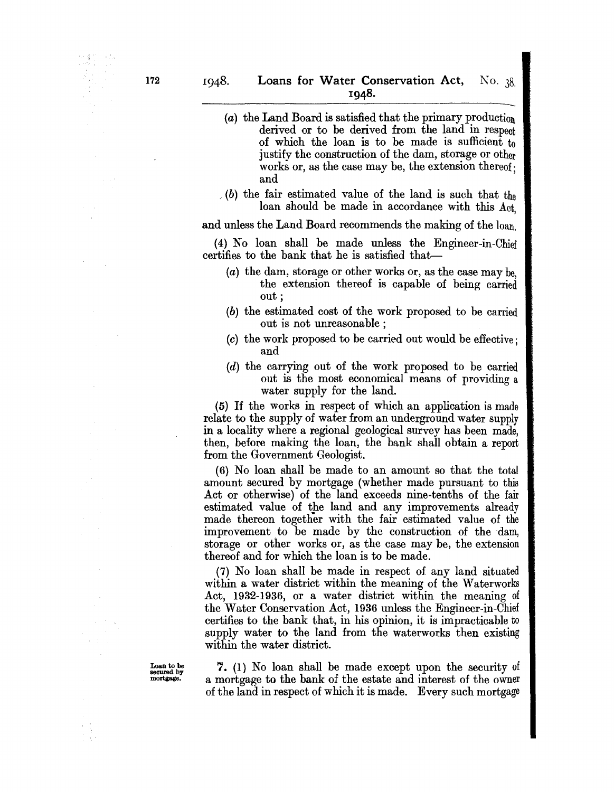- (a) the Land Board is satisfied that the primary production derived or to be derived from the land in respect of which the loan is to be made is sufficient to justify the construction of the dam, storage or other works or, as the case may be, the extension thereof; and
- $($ b) the fair estimated value of the land is such that the loan should be made in accordance with this Act.

and unless the Land Board recommends the making of the loan.

(4) No loan shall be made unless the Engineer-in-Chief certifies to the bank that he is satisfied that-

- (a) the dam, storage or other works or, as the case may be, the extension thereof is capable of being carried out;
- (b) the estimated cost of the work proposed to be carried out is not unreasonable;
- (c) the work proposed to be carried out would be effective; and
- (d) the carrying out of the work proposed to be carried out is the most economical means of providing a water supply for the land.

(5) If the works in respect of which an application is made relate to the supply of water from an underground water supply in a locality where a regional geological survey has been made, then, before making the loan, the bank shall obtain a report from the Government Geologist.

(6) No loan shall be made to an amount so that the total amount secured by mortgage (whether made pursuant to this Act or otherwise) of the land exceeds nine-tenths of the fair estimated value of the land and any improvements already made thereon together with the fair estimated value of the improvement to be made by the construction of the dam, storage or other works or, as the case may be, the extension thereof and for which the loan is to be made.

(7) No loan shall be made in respect of any land situated within a water district within the meaning of the Waterworks Act, 1932-1936, or a water district within the meaning of the Water Conservation Act, 1936 unless the Engineer-in-Chief certifies to the bank that, in his opinion, it is impracticable to supply water to the land from the waterworks then existing within the water district.

Loan to be secured by mortgage.

7. (1) No loan shall be made except upon the security of a mortgage to the bank of the estate and interest of the owner of the land in respect of which it is made. Every such mortgage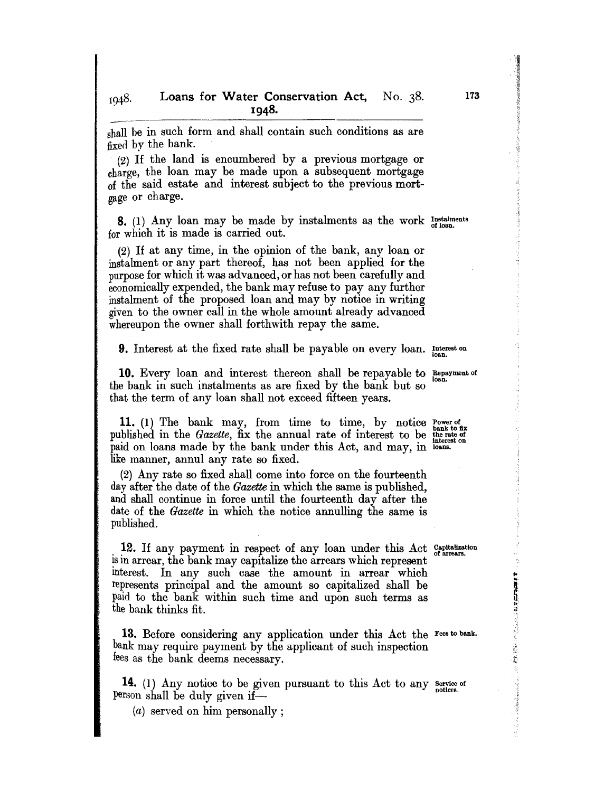shall be in such form and shall contain such conditions as are fixed by the bank.

(2) If the land is encumbered by a previous mortgage or charge, the loan may be made upon a subsequent mortgage of the said estate and interest subject to the previous mortgage or charge.

**S.** (1) Any loan may be made by instalments as the work Instalments for which it is made is carried out.

(2) If at any time, in the opinion of the bank, any loan or instalment or any part thereof, has not been applied for the purpose for which it was advanced, or has not been carefully and economically expended, the bank may refuse to pay any further instalment of the proposed loan and may by notice in writing given to the owner call in the whole amount already advanced whereupon the owner shall forthwith repay the same.

**9.** Interest at the fixed rate shall be payable on every loan. Interest on

**10.** Every loan and interest thereon shall be repayable to Repayment of the bank in such instalments as are fixed by the bank but so that the term of any loan shall not exceed fifteen years.

**11.** (1) The bank may, from time to time, by notice Power of published in the *Gazette*, fix the annual rate of interest to be the rate of interest on paid on loans made by the bank under this Act, and may, in  $\frac{1}{10}$  loans. like manner, annul any rate so fixed.

(2) Any rate so fixed shall come into force on the fourteenth day after the date of the *Gazette* in which the same is published, and shall continue in force until the fourteenth day after the date of the *Gazette* in which the notice annulling the same is published.

12. If any payment in respect of any loan under this Act Capitalization is in arrear, the bank may capitalize the arrears which represent interest. In any such case the amount in arrear which represents principal and the amount so capitalized shall be paid to the bank within such time and upon such terms as the bank thinks fit.

**13.** Before considering any application under this Act the Fees to bank. bank may require payment by the applicant of such inspection fees as the bank deems necessary.

**14.** (1) Any notice to be given pursuant to this Act to any service of person shall be duly given if-

(a) served on him personally ;

**化学学生 化学生学生学生学生学** 

 $\frac{5}{2}$ ï,